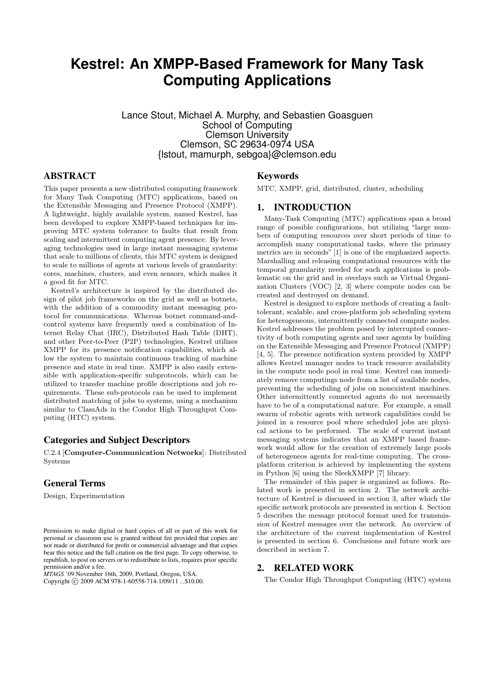# **Kestrel: An XMPP-Based Framework for Many Task Computing Applications**

Lance Stout, Michael A. Murphy, and Sebastien Goasguen School of Computing Clemson University Clemson, SC 29634-0974 USA {lstout, mamurph, sebgoa}@clemson.edu

# ABSTRACT

This paper presents a new distributed computing framework for Many Task Computing (MTC) applications, based on the Extensible Messaging and Presence Protocol (XMPP). A lightweight, highly available system, named Kestrel, has been developed to explore XMPP-based techniques for improving MTC system tolerance to faults that result from scaling and intermittent computing agent presence. By leveraging technologies used in large instant messaging systems that scale to millions of clients, this MTC system is designed to scale to millions of agents at various levels of granularity: cores, machines, clusters, and even sensors, which makes it a good fit for MTC.

Kestrel's architecture is inspired by the distributed design of pilot job frameworks on the grid as well as botnets, with the addition of a commodity instant messaging protocol for communications. Whereas botnet command-andcontrol systems have frequently used a combination of Internet Relay Chat (IRC), Distributed Hash Table (DHT), and other Peer-to-Peer (P2P) technologies, Kestrel utilizes XMPP for its presence notification capabilities, which allow the system to maintain continuous tracking of machine presence and state in real time. XMPP is also easily extensible with application-specific subprotocols, which can be utilized to transfer machine profile descriptions and job requirements. These sub-protocols can be used to implement distributed matching of jobs to systems, using a mechanism similar to ClassAds in the Condor High Throughput Computing (HTC) system.

# Categories and Subject Descriptors

C.2.4 [Computer-Communication Networks]: Distributed Systems

# General Terms

Design, Experimentation

*MTAGS '09* November 16th, 2009, Portland, Oregon, USA.

Copyright © 2009 ACM 978-1-60558-714-1/09/11 ...\$10.00.

#### Keywords

MTC, XMPP, grid, distributed, cluster, scheduling

#### 1. INTRODUCTION

Many-Task Computing (MTC) applications span a broad range of possible configurations, but utilizing "large numbers of computing resources over short periods of time to accomplish many computational tasks, where the primary metrics are in seconds" [1] is one of the emphasized aspects. Marshalling and releasing computational resources with the temporal granularity needed for such applications is problematic on the grid and in overlays such as Virtual Organization Clusters (VOC) [2, 3] where compute nodes can be created and destroyed on demand.

Kestrel is designed to explore methods of creating a faulttolerant, scalable, and cross-platform job scheduling system for heterogeneous, intermittently connected compute nodes. Kestrel addresses the problem posed by interrupted connectivity of both computing agents and user agents by building on the Extensible Messaging and Presence Protocol (XMPP) [4, 5]. The presence notification system provided by XMPP allows Kestrel manager nodes to track resource availability in the compute node pool in real time. Kestrel can immediately remove computings node from a list of available nodes, preventing the scheduling of jobs on nonexistent machines. Other intermittently connected agents do not necessarily have to be of a computational nature. For example, a small swarm of robotic agents with network capabilities could be joined in a resource pool where scheduled jobs are physical actions to be performed. The scale of current instant messaging systems indicates that an XMPP based framework would allow for the creation of extremely large pools of heterogeneos agents for real-time computing. The crossplatform criterion is achieved by implementing the system in Python [6] using the SleekXMPP [7] library.

The remainder of this paper is organized as follows. Related work is presented in section 2. The network architecture of Kestrel is discussed in section 3, after which the specific network protocols are presented in section 4. Section 5 describes the message protocol format used for transmission of Kestrel messages over the network. An overview of the architecture of the current implementation of Kestrel is presented in section 6. Conclusions and future work are described in section 7.

#### 2. RELATED WORK

The Condor High Throughput Computing (HTC) system

Permission to make digital or hard copies of all or part of this work for personal or classroom use is granted without fee provided that copies are not made or distributed for profit or commercial advantage and that copies bear this notice and the full citation on the first page. To copy otherwise, to republish, to post on servers or to redistribute to lists, requires prior specific permission and/or a fee.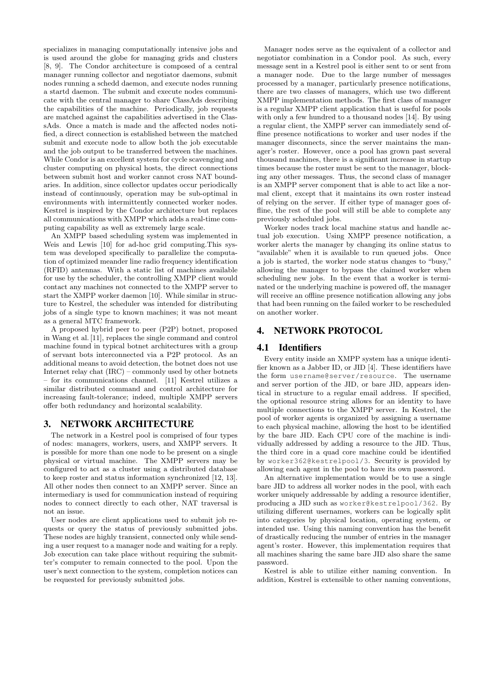specializes in managing computationally intensive jobs and is used around the globe for managing grids and clusters [8, 9]. The Condor architecture is composed of a central manager running collector and negotiator daemons, submit nodes running a schedd daemon, and execute nodes running a startd daemon. The submit and execute nodes communicate with the central manager to share ClassAds describing the capabilities of the machine. Periodically, job requests are matched against the capabilities advertised in the ClassAds. Once a match is made and the affected nodes notified, a direct connection is established between the matched submit and execute node to allow both the job executable and the job output to be transferred between the machines. While Condor is an excellent system for cycle scavenging and cluster computing on physical hosts, the direct connections between submit host and worker cannot cross NAT boundaries. In addition, since collector updates occur periodically instead of continuously, operation may be sub-optimal in environments with intermittently connected worker nodes. Kestrel is inspired by the Condor architecture but replaces all communications with XMPP which adds a real-time computing capability as well as extremely large scale.

An XMPP based scheduling system was implemented in Weis and Lewis [10] for ad-hoc grid computing.This system was developed specifically to parallelize the computation of optimized meander line radio frequency identification (RFID) antennas. With a static list of machines available for use by the scheduler, the controlling XMPP client would contact any machines not connected to the XMPP server to start the XMPP worker daemon [10]. While similar in structure to Kestrel, the scheduler was intended for distributing jobs of a single type to known machines; it was not meant as a general MTC framework.

A proposed hybrid peer to peer (P2P) botnet, proposed in Wang et al. [11], replaces the single command and control machine found in typical botnet architectures with a group of servant bots interconnected via a P2P protocol. As an additional means to avoid detection, the botnet does not use Internet relay chat (IRC) – commonly used by other botnets – for its communications channel. [11] Kestrel utilizes a similar distributed command and control architecture for increasing fault-tolerance; indeed, multiple XMPP servers offer both redundancy and horizontal scalability.

#### 3. NETWORK ARCHITECTURE

The network in a Kestrel pool is comprised of four types of nodes: managers, workers, users, and XMPP servers. It is possible for more than one node to be present on a single physical or virtual machine. The XMPP servers may be configured to act as a cluster using a distributed database to keep roster and status information synchronized [12, 13]. All other nodes then connect to an XMPP server. Since an intermediary is used for communication instead of requiring nodes to connect directly to each other, NAT traversal is not an issue.

User nodes are client applications used to submit job requests or query the status of previously submitted jobs. These nodes are highly transient, connected only while sending a user request to a manager node and waiting for a reply. Job execution can take place without requiring the submitter's computer to remain connected to the pool. Upon the user's next connection to the system, completion notices can be requested for previously submitted jobs.

Manager nodes serve as the equivalent of a collector and negotiator combination in a Condor pool. As such, every message sent in a Kestrel pool is either sent to or sent from a manager node. Due to the large number of messages processed by a manager, particularly presence notifications, there are two classes of managers, which use two different XMPP implementation methods. The first class of manager is a regular XMPP client application that is useful for pools with only a few hundred to a thousand nodes [14]. By using a regular client, the XMPP server can immediately send offline presence notifications to worker and user nodes if the manager disconnects, since the server maintains the manager's roster. However, once a pool has grown past several thousand machines, there is a significant increase in startup times because the roster must be sent to the manager, blocking any other messages. Thus, the second class of manager is an XMPP server component that is able to act like a normal client, except that it maintains its own roster instead of relying on the server. If either type of manager goes offline, the rest of the pool will still be able to complete any previously scheduled jobs.

Worker nodes track local machine status and handle actual job execution. Using XMPP presence notification, a worker alerts the manager by changing its online status to "available" when it is available to run queued jobs. Once a job is started, the worker node status changes to "busy," allowing the manager to bypass the claimed worker when scheduling new jobs. In the event that a worker is terminated or the underlying machine is powered off, the manager will receive an offline presence notification allowing any jobs that had been running on the failed worker to be rescheduled on another worker.

# 4. NETWORK PROTOCOL

# 4.1 Identifiers

Every entity inside an XMPP system has a unique identifier known as a Jabber ID, or JID [4]. These identifiers have the form username@server/resource. The username and server portion of the JID, or bare JID, appears identical in structure to a regular email address. If specified, the optional resource string allows for an identity to have multiple connections to the XMPP server. In Kestrel, the pool of worker agents is organized by assigning a username to each physical machine, allowing the host to be identified by the bare JID. Each CPU core of the machine is individually addressed by adding a resource to the JID. Thus, the third core in a quad core machine could be identified by worker362@kestrelpool/3. Security is provided by allowing each agent in the pool to have its own password.

An alternative implementation would be to use a single bare JID to address all worker nodes in the pool, with each worker uniquely addressable by adding a resource identifier. producing a JID such as worker@kestrelpool/362. By utilizing different usernames, workers can be logically split into categories by physical location, operating system, or intended use. Using this naming convention has the benefit of drastically reducing the number of entries in the manager agent's roster. However, this implementation requires that all machines sharing the same bare JID also share the same password.

Kestrel is able to utilize either naming convention. In addition, Kestrel is extensible to other naming conventions,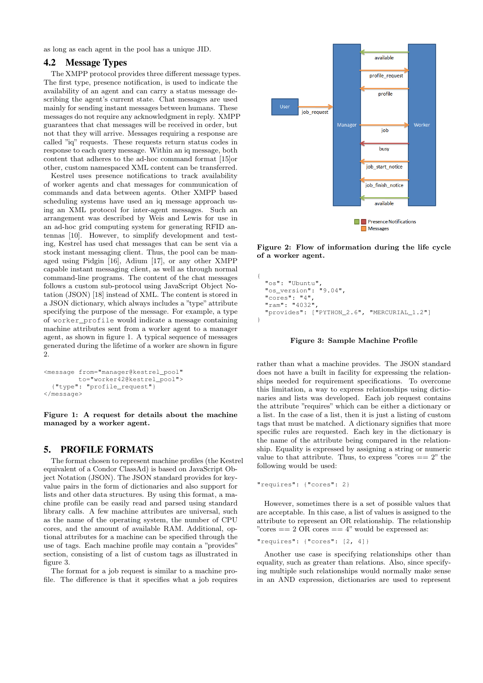as long as each agent in the pool has a unique JID.

#### 4.2 Message Types

The XMPP protocol provides three different message types. The first type, presence notification, is used to indicate the availability of an agent and can carry a status message describing the agent's current state. Chat messages are used mainly for sending instant messages between humans. These messages do not require any acknowledgment in reply. XMPP guarantees that chat messages will be received in order, but not that they will arrive. Messages requiring a response are called "iq" requests. These requests return status codes in response to each query message. Within an iq message, both content that adheres to the ad-hoc command format [15]or other, custom namespaced XML content can be transferred.

Kestrel uses presence notifications to track availability of worker agents and chat messages for communication of commands and data between agents. Other XMPP based scheduling systems have used an iq message approach using an XML protocol for inter-agent messages. Such an arrangement was described by Weis and Lewis for use in an ad-hoc grid computing system for generating RFID antennas [10]. However, to simplify development and testing, Kestrel has used chat messages that can be sent via a stock instant messaging client. Thus, the pool can be managed using Pidgin [16], Adium [17], or any other XMPP capable instant messaging client, as well as through normal command-line programs. The content of the chat messages follows a custom sub-protocol using JavaScript Object Notation (JSON) [18] instead of XML. The content is stored in a JSON dictionary, which always includes a "type" attribute specifying the purpose of the message. For example, a type of worker\_profile would indicate a message containing machine attributes sent from a worker agent to a manager agent, as shown in figure 1. A typical sequence of messages generated during the lifetime of a worker are shown in figure  $\Omega$ 

```
<message from="manager@kestrel_pool"
         to="worker42@kestrel_pool">
  {"type": "profile_request"}
</message>
```
Figure 1: A request for details about the machine managed by a worker agent.

# 5. PROFILE FORMATS

The format chosen to represent machine profiles (the Kestrel equivalent of a Condor ClassAd) is based on JavaScript Object Notation (JSON). The JSON standard provides for keyvalue pairs in the form of dictionaries and also support for lists and other data structures. By using this format, a machine profile can be easily read and parsed using standard library calls. A few machine attributes are universal, such as the name of the operating system, the number of CPU cores, and the amount of available RAM. Additional, optional attributes for a machine can be specified through the use of tags. Each machine profile may contain a "provides" section, consisting of a list of custom tags as illustrated in figure 3.

The format for a job request is similar to a machine profile. The difference is that it specifies what a job requires



Figure 2: Flow of information during the life cycle of a worker agent.

```
{
  "os": "Ubuntu",
  "os_version": "9.04",
  "cores": "4",
  "ram": "4032",
  "provides": ["PYTHON_2.6", "MERCURIAL_1.2"]
}
```
#### Figure 3: Sample Machine Profile

rather than what a machine provides. The JSON standard does not have a built in facility for expressing the relationships needed for requirement specifications. To overcome this limitation, a way to express relationships using dictionaries and lists was developed. Each job request contains the attribute "requires" which can be either a dictionary or a list. In the case of a list, then it is just a listing of custom tags that must be matched. A dictionary signifies that more specific rules are requested. Each key in the dictionary is the name of the attribute being compared in the relationship. Equality is expressed by assigning a string or numeric value to that attribute. Thus, to express "cores  $== 2$ " the following would be used:

```
"requires": {"cores": 2}
```
However, sometimes there is a set of possible values that are acceptable. In this case, a list of values is assigned to the attribute to represent an OR relationship. The relationship "cores  $== 2$  OR cores  $== 4$ " would be expressed as:

```
"requires": {"cores": [2, 4]}
```
Another use case is specifying relationships other than equality, such as greater than relations. Also, since specifying multiple such relationships would normally make sense in an AND expression, dictionaries are used to represent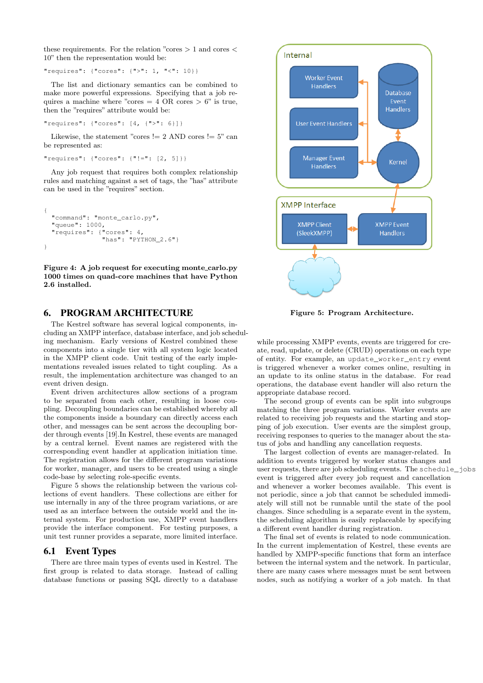these requirements. For the relation "cores  $> 1$  and cores  $<$ 10" then the representation would be:

"requires": {"cores": {">": 1, "<": 10}}

The list and dictionary semantics can be combined to make more powerful expressions. Specifying that a job requires a machine where "cores  $= 4$  OR cores  $> 6$ " is true, then the "requires" attribute would be:

"requires": {"cores": [4, {">": 6}]}

Likewise, the statement "cores  $!= 2$  AND cores  $!= 5$ " can be represented as:

```
"requires": {"cores": {"!=": [2, 5]}}
```
Any job request that requires both complex relationship rules and matching against a set of tags, the "has" attribute can be used in the "requires" section.

```
{
  "command": "monte_carlo.py",
  "queue": 1000,
  "requires": {"cores": 4,
                "has": "PYTHON 2.6"}
}
```
Figure 4: A job request for executing monte carlo.py 1000 times on quad-core machines that have Python 2.6 installed.

# 6. PROGRAM ARCHITECTURE

The Kestrel software has several logical components, including an XMPP interface, database interface, and job scheduling mechanism. Early versions of Kestrel combined these components into a single tier with all system logic located in the XMPP client code. Unit testing of the early implementations revealed issues related to tight coupling. As a result, the implementation architecture was changed to an event driven design.

Event driven architectures allow sections of a program to be separated from each other, resulting in loose coupling. Decoupling boundaries can be established whereby all the components inside a boundary can directly access each other, and messages can be sent across the decoupling border through events [19].In Kestrel, these events are managed by a central kernel. Event names are registered with the corresponding event handler at application initiation time. The registration allows for the different program variations for worker, manager, and users to be created using a single code-base by selecting role-specific events.

Figure 5 shows the relationship between the various collections of event handlers. These collections are either for use internally in any of the three program variations, or are used as an interface between the outside world and the internal system. For production use, XMPP event handlers provide the interface component. For testing purposes, a unit test runner provides a separate, more limited interface.

### 6.1 Event Types

There are three main types of events used in Kestrel. The first group is related to data storage. Instead of calling database functions or passing SQL directly to a database



Figure 5: Program Architecture.

while processing XMPP events, events are triggered for create, read, update, or delete (CRUD) operations on each type of entity. For example, an update\_worker\_entry event is triggered whenever a worker comes online, resulting in an update to its online status in the database. For read operations, the database event handler will also return the appropriate database record.

The second group of events can be split into subgroups matching the three program variations. Worker events are related to receiving job requests and the starting and stopping of job execution. User events are the simplest group, receiving responses to queries to the manager about the status of jobs and handling any cancellation requests.

The largest collection of events are manager-related. In addition to events triggered by worker status changes and user requests, there are job scheduling events. The schedule\_jobs event is triggered after every job request and cancellation and whenever a worker becomes available. This event is not periodic, since a job that cannot be scheduled immediately will still not be runnable until the state of the pool changes. Since scheduling is a separate event in the system, the scheduling algorithm is easily replaceable by specifying a different event handler during registration.

The final set of events is related to node communication. In the current implementation of Kestrel, these events are handled by XMPP-specific functions that form an interface between the internal system and the network. In particular, there are many cases where messages must be sent between nodes, such as notifying a worker of a job match. In that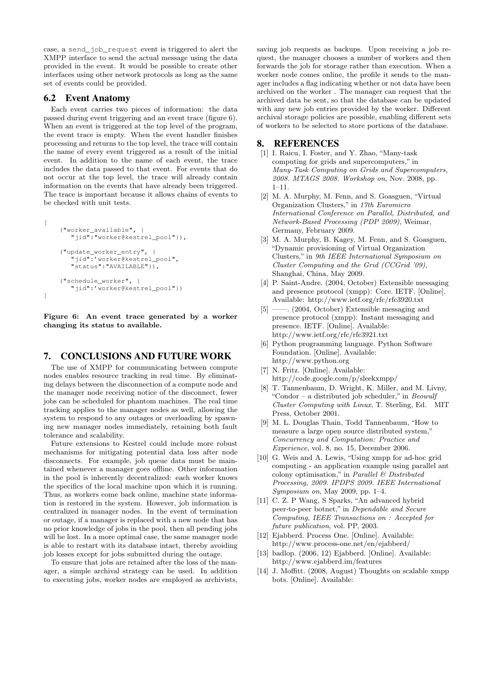case, a send\_job\_request event is triggered to alert the XMPP interface to send the actual message using the data provided in the event. It would be possible to create other interfaces using other network protocols as long as the same set of events could be provided.

#### 6.2 Event Anatomy

Each event carries two pieces of information: the data passed during event triggering and an event trace (figure 6). When an event is triggered at the top level of the program, the event trace is empty. When the event handler finishes processing and returns to the top level, the trace will contain the name of every event triggered as a result of the initial event. In addition to the name of each event, the trace includes the data passed to that event. For events that do not occur at the top level, the trace will already contain information on the events that have already been triggered. The trace is important because it allows chains of events to be checked with unit tests.

```
[
    ("worker_available", {
       "jid":"worker@kestrel_pool"}),
    ("update_worker_entry", {
       "jid":'worker@kestrel_pool",
       "status":"AVAILABLE"}),
    ("schedule_worker", {
       "jid":'worker@kestrel_pool"})
]
```
Figure 6: An event trace generated by a worker changing its status to available.

# 7. CONCLUSIONS AND FUTURE WORK

The use of XMPP for communicating between compute nodes enables resource tracking in real time. By eliminating delays between the disconnection of a compute node and the manager node receiving notice of the disconnect, fewer jobs can be scheduled for phantom machines. The real time tracking applies to the manager nodes as well, allowing the system to respond to any outages or overloading by spawning new manager nodes immediately, retaining both fault tolerance and scalability.

Future extensions to Kestrel could include more robust mechanisms for mitigating potential data loss after node disconnects. For example, job queue data must be maintained whenever a manager goes offline. Other information in the pool is inherently decentralized: each worker knows the specifics of the local machine upon which it is running. Thus, as workers come back online, machine state information is restored in the system. However, job information is centralized in manager nodes. In the event of termination or outage, if a manager is replaced with a new node that has no prior knowledge of jobs in the pool, then all pending jobs will be lost. In a more optimal case, the same manager node is able to restart with its database intact, thereby avoiding job losses except for jobs submitted during the outage.

To ensure that jobs are retained after the loss of the manager, a simple archival strategy can be used. In addition to executing jobs, worker nodes are employed as archivists, saving job requests as backups. Upon receiving a job request, the manager chooses a number of workers and then forwards the job for storage rather than execution. When a worker node comes online, the profile it sends to the manager includes a flag indicating whether or not data have been archived on the worker . The manager can request that the archived data be sent, so that the database can be updated with any new job entries provided by the worker. Different archival storage policies are possible, enabling different sets of workers to be selected to store portions of the database.

#### 8. REFERENCES

- [1] I. Raicu, I. Foster, and Y. Zhao, "Many-task computing for grids and supercomputers," in Many-Task Computing on Grids and Supercomputers, 2008. MTAGS 2008. Workshop on, Nov. 2008, pp. 1–11.
- [2] M. A. Murphy, M. Fenn, and S. Goasguen, "Virtual Organization Clusters," in 17th Euromicro International Conference on Parallel, Distributed, and Network-Based Processing (PDP 2009), Weimar, Germany, February 2009.
- [3] M. A. Murphy, B. Kagey, M. Fenn, and S. Goasguen, "Dynamic provisioning of Virtual Organization Clusters," in 9th IEEE International Symposium on Cluster Computing and the Grid (CCGrid '09), Shanghai, China, May 2009.
- [4] P. Saint-Andre. (2004, October) Extensible messaging and presence protocol (xmpp): Core. IETF. [Online]. Available: http://www.ietf.org/rfc/rfc3920.txt
- [5] ——. (2004, October) Extensible messaging and presence protocol (xmpp): Instant messaging and presence. IETF. [Online]. Available: http://www.ietf.org/rfc/rfc3921.txt
- [6] Python programming language. Python Software Foundation. [Online]. Available: http://www.python.org
- [7] N. Fritz. [Online]. Available: http://code.google.com/p/sleekxmpp/
- [8] T. Tannenbaum, D. Wright, K. Miller, and M. Livny, "Condor – a distributed job scheduler," in Beowulf Cluster Computing with Linux, T. Sterling, Ed. MIT Press, October 2001.
- [9] M. L. Douglas Thain, Todd Tannenbaum, "How to measure a large open source distributed system," Concurrency and Computation: Practice and Experience, vol. 8, no. 15, December 2006.
- [10] G. Weis and A. Lewis, "Using xmpp for ad-hoc grid computing - an application example using parallel ant colony optimisation," in Parallel & Distributed Processing, 2009. IPDPS 2009. IEEE International Symposium on, May 2009, pp. 1–4.
- [11] C. Z. P Wang, S Sparks, "An advanced hybrid peer-to-peer botnet," in Dependable and Secure Computing, IEEE Transactions on : Accepted for future publication, vol. PP, 2003.
- [12] Ejabberd. Process One. [Online]. Available: http://www.process-one.net/en/ejabberd/
- [13] badlop. (2006, 12) Ejabberd. [Online]. Available: http://www.ejabberd.im/features
- [14] J. Moffitt. (2008, August) Thoughts on scalable xmpp bots. [Online]. Available: